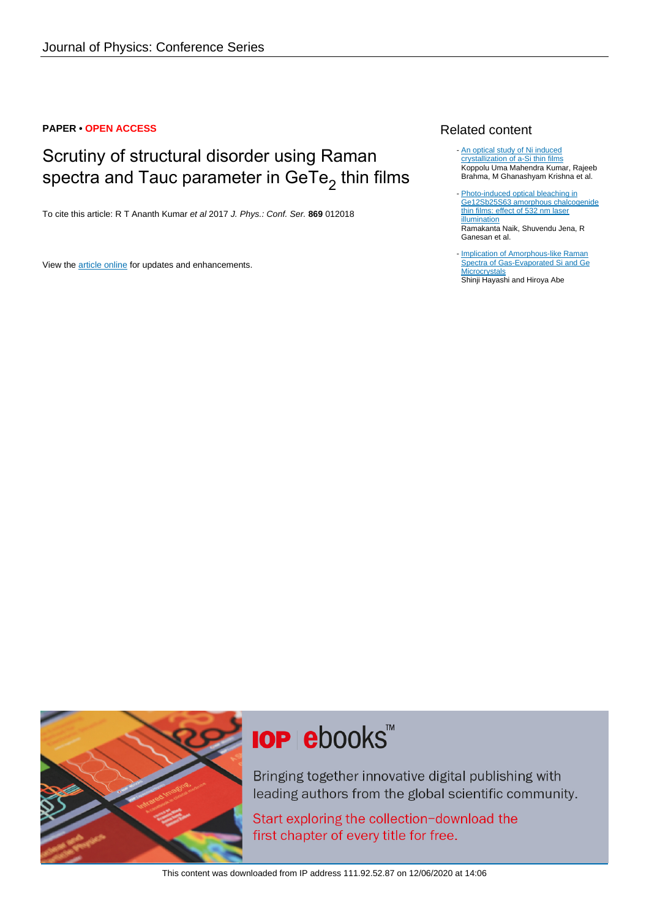#### **PAPER • OPEN ACCESS**

## Scrutiny of structural disorder using Raman spectra and Tauc parameter in GeTe $_2$  thin films

To cite this article: R T Ananth Kumar et al 2017 J. Phys.: Conf. Ser. **869** 012018

View the [article online](https://doi.org/10.1088/1742-6596/869/1/012018) for updates and enhancements.

#### Related content

- [An optical study of Ni induced](http://iopscience.iop.org/article/10.1088/0953-8984/19/49/496208) [crystallization of a-Si thin films](http://iopscience.iop.org/article/10.1088/0953-8984/19/49/496208) Koppolu Uma Mahendra Kumar, Rajeeb Brahma, M Ghanashyam Krishna et al.
- [Photo-induced optical bleaching in](http://iopscience.iop.org/article/10.1088/1054-660X/25/3/036001) [Ge12Sb25S63 amorphous chalcogenide](http://iopscience.iop.org/article/10.1088/1054-660X/25/3/036001) [thin films: effect of 532 nm laser](http://iopscience.iop.org/article/10.1088/1054-660X/25/3/036001) [illumination](http://iopscience.iop.org/article/10.1088/1054-660X/25/3/036001) Ramakanta Naik, Shuvendu Jena, R Ganesan et al. -
- [Implication of Amorphous-like Raman](http://iopscience.iop.org/article/10.1143/JJAP.23.L824) [Spectra of Gas-Evaporated Si and Ge](http://iopscience.iop.org/article/10.1143/JJAP.23.L824) **[Microcrystals](http://iopscience.iop.org/article/10.1143/JJAP.23.L824)** Shinji Hayashi and Hiroya Abe



# **IOP ebooks™**

Bringing together innovative digital publishing with leading authors from the global scientific community.

Start exploring the collection-download the first chapter of every title for free.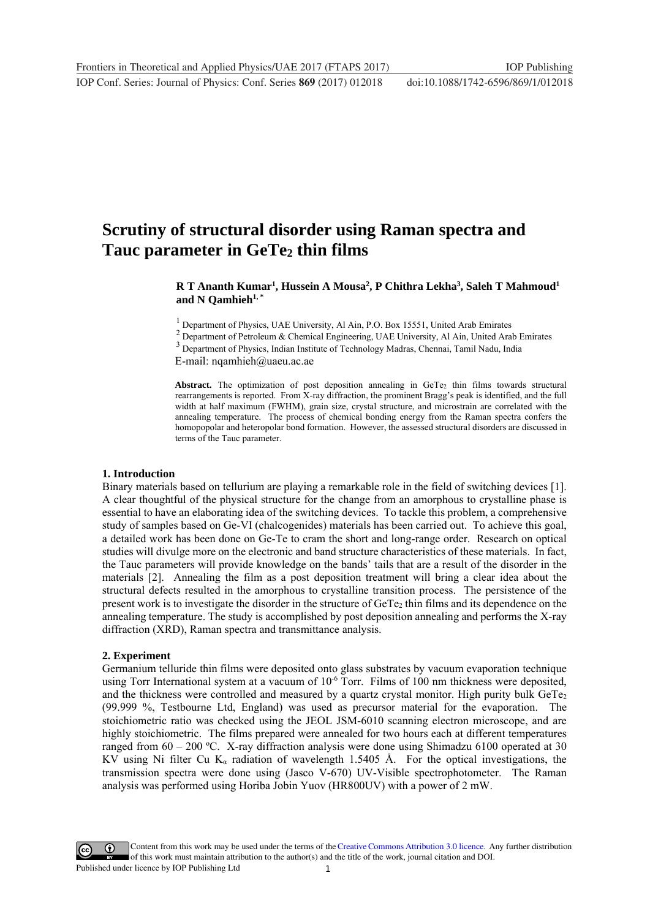### **Scrutiny of structural disorder using Raman spectra and**  Tauc parameter in GeTe<sub>2</sub> thin films

#### ${\bf R}$  T Ananth Kumar<sup>1</sup>, Hussein A Mousa<sup>2</sup>, P Chithra Lekha<sup>3</sup>, Saleh T Mahmoud<sup>1</sup> and N Qamhieh<sup>1,\*</sup>

<sup>1</sup> Department of Physics, UAE University, Al Ain, P.O. Box 15551, United Arab Emirates

 $2$  Department of Petroleum & Chemical Engineering, UAE University, Al Ain, United Arab Emirates

<sup>3</sup> Department of Physics, Indian Institute of Technology Madras, Chennai, Tamil Nadu, India

E-mail: nqamhieh@uaeu.ac.ae

Abstract. The optimization of post deposition annealing in GeTe<sub>2</sub> thin films towards structural rearrangements is reported. From X-ray diffraction, the prominent Bragg's peak is identified, and the full width at half maximum (FWHM), grain size, crystal structure, and microstrain are correlated with the annealing temperature. The process of chemical bonding energy from the Raman spectra confers the homopopolar and heteropolar bond formation. However, the assessed structural disorders are discussed in terms of the Tauc parameter.

#### **1. Introduction**

Binary materials based on tellurium are playing a remarkable role in the field of switching devices [1]. A clear thoughtful of the physical structure for the change from an amorphous to crystalline phase is essential to have an elaborating idea of the switching devices. To tackle this problem, a comprehensive study of samples based on Ge-VI (chalcogenides) materials has been carried out. To achieve this goal, a detailed work has been done on Ge-Te to cram the short and long-range order. Research on optical studies will divulge more on the electronic and band structure characteristics of these materials. In fact, the Tauc parameters will provide knowledge on the bands' tails that are a result of the disorder in the materials [2]. Annealing the film as a post deposition treatment will bring a clear idea about the structural defects resulted in the amorphous to crystalline transition process. The persistence of the present work is to investigate the disorder in the structure of  $Ger\mathbb{e}_2$  thin films and its dependence on the annealing temperature. The study is accomplished by post deposition annealing and performs the X-ray diffraction (XRD), Raman spectra and transmittance analysis.

#### **2. Experiment**

Germanium telluride thin films were deposited onto glass substrates by vacuum evaporation technique using Torr International system at a vacuum of 10<sup>-6</sup> Torr. Films of 100 nm thickness were deposited, and the thickness were controlled and measured by a quartz crystal monitor. High purity bulk  $GeTe<sub>2</sub>$ (99.999 %, Testbourne Ltd, England) was used as precursor material for the evaporation. The stoichiometric ratio was checked using the JEOL JSM-6010 scanning electron microscope, and are highly stoichiometric. The films prepared were annealed for two hours each at different temperatures ranged from 60 – 200 ºC. X-ray diffraction analysis were done using Shimadzu 6100 operated at 30 KV using Ni filter Cu K<sub>a</sub> radiation of wavelength 1.5405 Å. For the optical investigations, the transmission spectra were done using (Jasco V-670) UV-Visible spectrophotometer. The Raman analysis was performed using Horiba Jobin Yuov (HR800UV) with a power of 2 mW.

1 Content from this work may be used under the terms of the[Creative Commons Attribution 3.0 licence.](http://creativecommons.org/licenses/by/3.0) Any further distribution of this work must maintain attribution to the author(s) and the title of the work, journal citation and DOI. Published under licence by IOP Publishing Ltd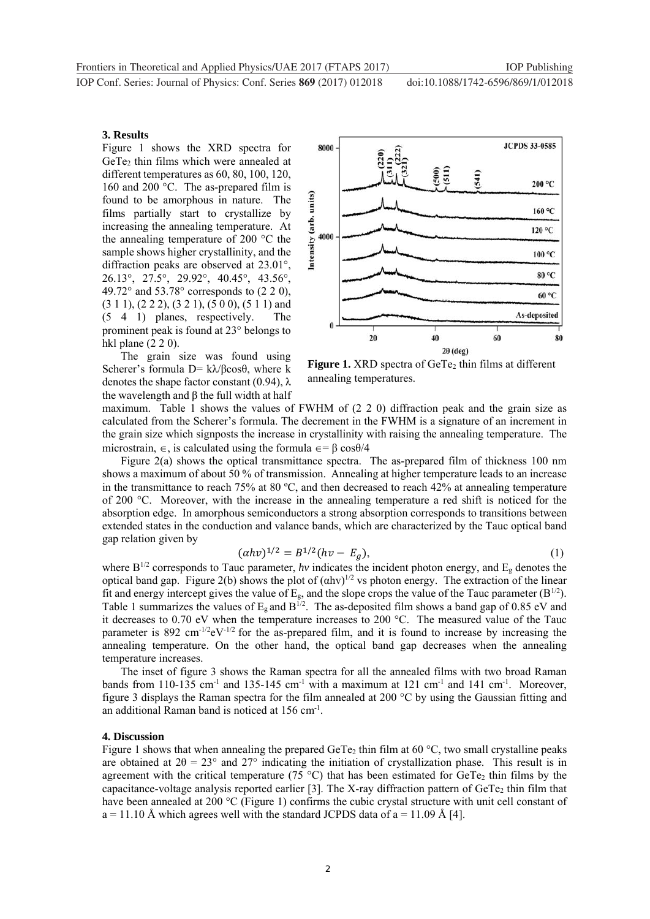**1234567890** IOP Conf. Series: Journal of Physics: Conf. Series **869** (2017) 012018 doi :10.1088/1742-6596/869/1/012018

#### **3. Results**

Figure 1 shows the XRD spectra for GeTe<sub>2</sub> thin films which were annealed at different temperatures as 60, 80, 100, 120, 160 and 200 °C. The as-prepared film is found to be amorphous in nature. The films partially start to crystallize by increasing the annealing temperature. At the annealing temperature of 200 °C the sample shows higher crystallinity, and the diffraction peaks are observed at 23.01°, 26.13°, 27.5°, 29.92°, 40.45°, 43.56°, 49.72° and 53.78° corresponds to (2 2 0), (3 1 1), (2 2 2), (3 2 1), (5 0 0), (5 1 1) and (5 4 1) planes, respectively. The prominent peak is found at 23° belongs to hkl plane (2 2 0).

The grain size was found using Scherer's formula D= kλ/βcosθ, where k denotes the shape factor constant  $(0.94)$ ,  $\lambda$ the wavelength and β the full width at half



**Figure 1.** XRD spectra of GeTe<sub>2</sub> thin films at different annealing temperatures.

maximum. Table 1 shows the values of FWHM of (2 2 0) diffraction peak and the grain size as calculated from the Scherer's formula. The decrement in the FWHM is a signature of an increment in the grain size which signposts the increase in crystallinity with raising the annealing temperature. The microstrain,  $\epsilon$ , is calculated using the formula  $\epsilon = \beta \cos{\theta/4}$ 

Figure 2(a) shows the optical transmittance spectra. The as-prepared film of thickness 100 nm shows a maximum of about 50 % of transmission. Annealing at higher temperature leads to an increase in the transmittance to reach 75% at 80 ºC, and then decreased to reach 42% at annealing temperature of 200 °C. Moreover, with the increase in the annealing temperature a red shift is noticed for the absorption edge. In amorphous semiconductors a strong absorption corresponds to transitions between extended states in the conduction and valance bands, which are characterized by the Tauc optical band gap relation given by

$$
(\alpha h v)^{1/2} = B^{1/2} (h v - E_g), \tag{1}
$$

where  $B^{1/2}$  corresponds to Tauc parameter, *hv* indicates the incident photon energy, and  $E_g$  denotes the optical band gap. Figure 2(b) shows the plot of  $(ahv)^{1/2}$  vs photon energy. The extraction of the linear fit and energy intercept gives the value of  $E_g$ , and the slope crops the value of the Tauc parameter ( $B^{1/2}$ ). Table 1 summarizes the values of  $E<sub>g</sub>$  and  $B<sup>1/2</sup>$ . The as-deposited film shows a band gap of 0.85 eV and it decreases to 0.70 eV when the temperature increases to 200 °C. The measured value of the Tauc parameter is 892 cm<sup>-1/2</sup>eV<sup>-1/2</sup> for the as-prepared film, and it is found to increase by increasing the annealing temperature. On the other hand, the optical band gap decreases when the annealing temperature increases.

The inset of figure 3 shows the Raman spectra for all the annealed films with two broad Raman bands from 110-135 cm<sup>-1</sup> and 135-145 cm<sup>-1</sup> with a maximum at 121 cm<sup>-1</sup> and 141 cm<sup>-1</sup>. Moreover, figure 3 displays the Raman spectra for the film annealed at 200 °C by using the Gaussian fitting and an additional Raman band is noticed at 156 cm-1.

#### **4. Discussion**

Figure 1 shows that when annealing the prepared GeTe<sub>2</sub> thin film at 60 °C, two small crystalline peaks are obtained at  $2\theta = 23^{\circ}$  and  $27^{\circ}$  indicating the initiation of crystallization phase. This result is in agreement with the critical temperature (75 °C) that has been estimated for GeTe<sub>2</sub> thin films by the capacitance-voltage analysis reported earlier [3]. The X-ray diffraction pattern of  $GeTe<sub>2</sub>$  thin film that have been annealed at 200 °C (Figure 1) confirms the cubic crystal structure with unit cell constant of  $a = 11.10 \text{ Å}$  which agrees well with the standard JCPDS data of  $a = 11.09 \text{ Å}$  [4].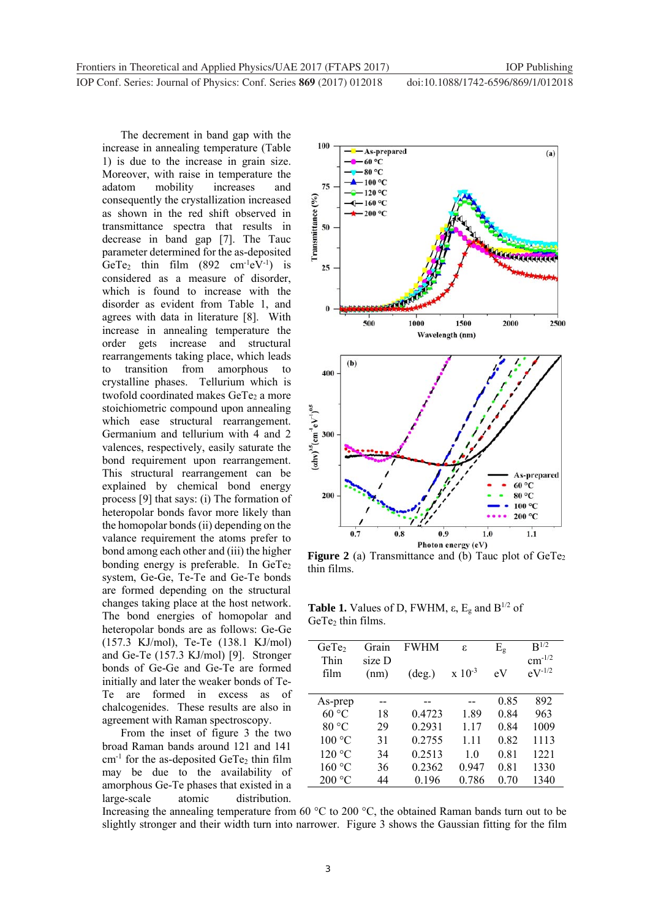**1234567890** IOP Conf. Series: Journal of Physics: Conf. Series **869** (2017) 012018 doi :10.1088/1742-6596/869/1/012018

The decrement in band gap with the increase in annealing temperature (Table 1) is due to the increase in grain size. Moreover, with raise in temperature the adatom mobility increases and consequently the crystallization increased as shown in the red shift observed in transmittance spectra that results in decrease in band gap [7]. The Tauc parameter determined for the as-deposited GeTe<sub>2</sub> thin film  $(892 \text{ cm}^{-1} \text{eV}^{-1})$  is considered as a measure of disorder, which is found to increase with the disorder as evident from Table 1, and agrees with data in literature [8]. With increase in annealing temperature the order gets increase and structural rearrangements taking place, which leads to transition from amorphous to crystalline phases. Tellurium which is twofold coordinated makes GeTe<sub>2</sub> a more stoichiometric compound upon annealing which ease structural rearrangement. Germanium and tellurium with 4 and 2 valences, respectively, easily saturate the bond requirement upon rearrangement. This structural rearrangement can be explained by chemical bond energy process [9] that says: (i) The formation of heteropolar bonds favor more likely than the homopolar bonds (ii) depending on the valance requirement the atoms prefer to bond among each other and (iii) the higher bonding energy is preferable. In GeTe<sub>2</sub> system, Ge-Ge, Te-Te and Ge-Te bonds are formed depending on the structural changes taking place at the host network. The bond energies of homopolar and heteropolar bonds are as follows: Ge-Ge (157.3 KJ/mol), Te-Te (138.1 KJ/mol) and Ge-Te (157.3 KJ/mol) [9]. Stronger bonds of Ge-Ge and Ge-Te are formed initially and later the weaker bonds of Te-Te are formed in excess as of chalcogenides. These results are also in agreement with Raman spectroscopy.

From the inset of figure 3 the two broad Raman bands around 121 and 141  $cm<sup>-1</sup>$  for the as-deposited GeTe<sub>2</sub> thin film may be due to the availability of amorphous Ge-Te phases that existed in a large-scale atomic distribution.



**Figure 2** (a) Transmittance and (b) Tauc plot of  $GeTe<sub>2</sub>$ thin films.

**Table 1.** Values of D, FWHM,  $\varepsilon$ ,  $E_g$  and  $B^{1/2}$  of GeTe<sub>2</sub> thin films.

| GeTe <sub>2</sub> | Grain  | <b>FWHM</b>     | ε           | $E_{\rm g}$ | $\mathbf{B}^{1/2}$ |
|-------------------|--------|-----------------|-------------|-------------|--------------------|
| Thin              | size D |                 |             |             | $cm^{-1/2}$        |
| film              | (nm)   | $(\text{deg.})$ | $x 10^{-3}$ | eV          | $eV^{-1/2}$        |
|                   |        |                 |             |             |                    |
| As-prep           |        |                 |             | 0.85        | 892                |
| 60 °C             | 18     | 0.4723          | 1.89        | 0.84        | 963                |
| 80 °C             | 29     | 0.2931          | 1.17        | 0.84        | 1009               |
| 100 °C            | 31     | 0.2755          | 1.11        | 0.82        | 1113               |
| 120 °C            | 34     | 0.2513          | 10          | 0.81        | 1221               |
| 160 °C            | 36     | 0.2362          | 0.947       | 0.81        | 1330               |
| 200 °C            | 44     | 0.196           | 0.786       | 0.70        | 1340               |
|                   |        |                 |             |             |                    |

Increasing the annealing temperature from 60 °C to 200 °C, the obtained Raman bands turn out to be slightly stronger and their width turn into narrower. Figure 3 shows the Gaussian fitting for the film